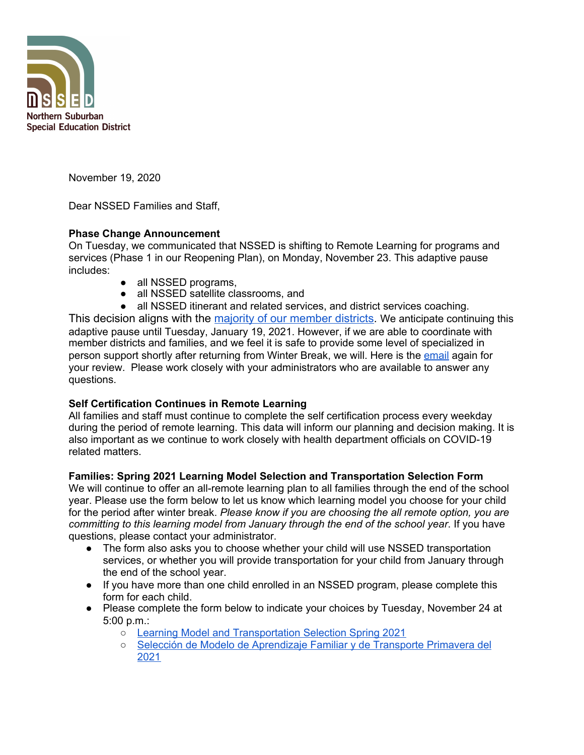

November 19, 2020

Dear NSSED Families and Staff,

## **Phase Change Announcement**

On Tuesday, we communicated that NSSED is shifting to Remote Learning for programs and services (Phase 1 in our Reopening Plan), on Monday, November 23. This adaptive pause includes:

- all NSSED programs,
- all NSSED satellite classrooms, and
- all NSSED itinerant and related services, and district services coaching.

This decision aligns with the [majority of our member districts](https://docs.google.com/document/d/1JazyozSgC3F-mXSKONxZWgzzI5a2Gvi4vRzWb3u3mpw/edit). We anticipate continuing this adaptive pause until Tuesday, January 19, 2021. However, if we are able to coordinate with member districts and families, and we feel it is safe to provide some level of specialized in person support shortly after returning from Winter Break, we will. Here is the [email](https://www.nssed.org/cms/lib/IL50000460/Centricity/Domain/151/November%2017%202020%20Message%20from%20Superintendent%20Kurt%20A.%20Schneider.pdf) again for your review. Please work closely with your administrators who are available to answer any questions.

# **Self Certification Continues in Remote Learning**

All families and staff must continue to complete the self certification process every weekday during the period of remote learning. This data will inform our planning and decision making. It is also important as we continue to work closely with health department officials on COVID-19 related matters.

## **Families: Spring 2021 Learning Model Selection and Transportation Selection Form**

We will continue to offer an all-remote learning plan to all families through the end of the school year. Please use the form below to let us know which learning model you choose for your child for the period after winter break. *Please know if you are choosing the all remote option, you are committing to this learning model from January through the end of the school year*. If you have questions, please contact your administrator.

- The form also asks you to choose whether your child will use NSSED transportation services, or whether you will provide transportation for your child from January through the end of the school year.
- If you have more than one child enrolled in an NSSED program, please complete this form for each child.
- Please complete the form below to indicate your choices by Tuesday, November 24 at 5:00 p.m.:
	- Learning Model and [Transportation](https://docs.google.com/forms/d/e/1FAIpQLSfPiWsZcgOgE9xXz5YlJBENl94GjHuocI5aPJy4bs67u9BkDw/viewform?usp=sf_link) Selection Spring 2021
	- Selección de Modelo de [Aprendizaje](https://docs.google.com/forms/d/e/1FAIpQLSfq-RBEiPK5yarLtCFuu1aZ0f8qJovYNrNCs2sT3_XUom0xbA/viewform?usp=sf_link) Familiar y de Transporte Primavera del [2021](https://docs.google.com/forms/d/e/1FAIpQLSfq-RBEiPK5yarLtCFuu1aZ0f8qJovYNrNCs2sT3_XUom0xbA/viewform?usp=sf_link)